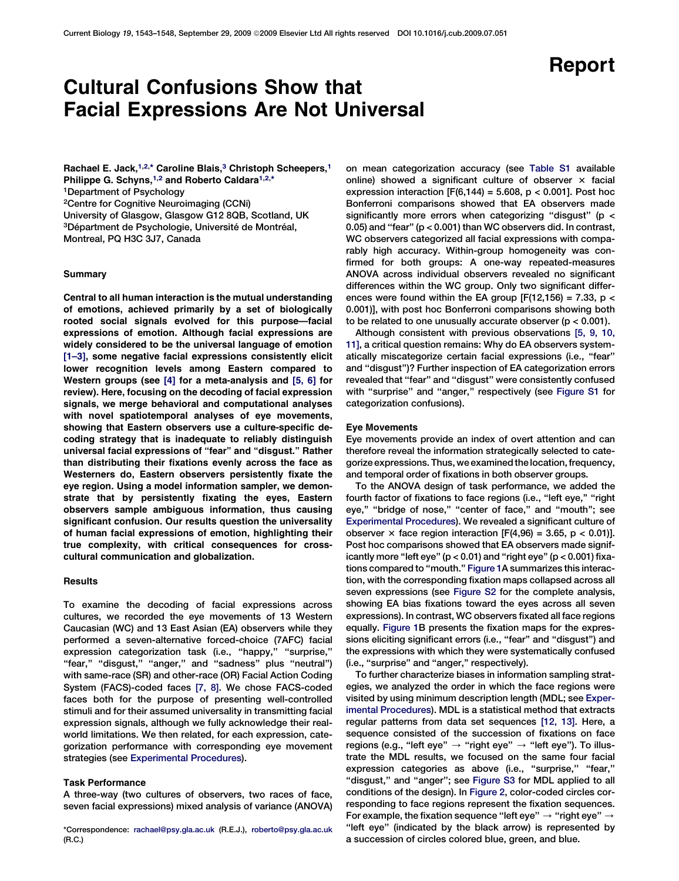## Report

# Cultural Confusions Show that Facial Expressions Are Not Universal

Rachael E. Jack, 1,2,\* Caroline Blais, 3 Christoph Scheepers, 1 Philippe G. Schyns, <sup>1,2</sup> and Roberto Caldara<sup>1,2,\*</sup> 1Department of Psychology 2Centre for Cognitive Neuroimaging (CCNi) University of Glasgow, Glasgow G12 8QB, Scotland, UK

<sup>3</sup>Départment de Psychologie, Université de Montréal, Montreal, PQ H3C 3J7, Canada

### Summary

Central to all human interaction is the mutual understanding of emotions, achieved primarily by a set of biologically rooted social signals evolved for this purpose—facial expressions of emotion. Although facial expressions are widely considered to be the universal language of emotion [\[1–3\]](#page-4-0), some negative facial expressions consistently elicit lower recognition levels among Eastern compared to Western groups (see [\[4\]](#page-4-0) for a meta-analysis and [\[5, 6\]](#page-4-0) for review). Here, focusing on the decoding of facial expression signals, we merge behavioral and computational analyses with novel spatiotemporal analyses of eye movements, showing that Eastern observers use a culture-specific decoding strategy that is inadequate to reliably distinguish universal facial expressions of "fear" and "disgust." Rather than distributing their fixations evenly across the face as Westerners do, Eastern observers persistently fixate the eye region. Using a model information sampler, we demonstrate that by persistently fixating the eyes, Eastern observers sample ambiguous information, thus causing significant confusion. Our results question the universality of human facial expressions of emotion, highlighting their true complexity, with critical consequences for crosscultural communication and globalization.

## **Results**

To examine the decoding of facial expressions across cultures, we recorded the eye movements of 13 Western Caucasian (WC) and 13 East Asian (EA) observers while they performed a seven-alternative forced-choice (7AFC) facial expression categorization task (i.e., ''happy,'' ''surprise,'' "fear," "disgust," "anger," and "sadness" plus "neutral") with same-race (SR) and other-race (OR) Facial Action Coding System (FACS)-coded faces [\[7, 8\]](#page-4-0). We chose FACS-coded faces both for the purpose of presenting well-controlled stimuli and for their assumed universality in transmitting facial expression signals, although we fully acknowledge their realworld limitations. We then related, for each expression, categorization performance with corresponding eye movement strategies (see [Experimental Procedures\)](#page-3-0).

#### Task Performance

A three-way (two cultures of observers, two races of face, seven facial expressions) mixed analysis of variance (ANOVA) on mean categorization accuracy (see [Table S1](#page-4-0) available online) showed a significant culture of observer  $\times$  facial expression interaction  $[F(6,144) = 5.608, p < 0.001]$ . Post hoc Bonferroni comparisons showed that EA observers made significantly more errors when categorizing "disgust" ( $p <$ 0.05) and ''fear'' (p < 0.001) than WC observers did. In contrast, WC observers categorized all facial expressions with comparably high accuracy. Within-group homogeneity was confirmed for both groups: A one-way repeated-measures ANOVA across individual observers revealed no significant differences within the WC group. Only two significant differences were found within the EA group  $[F(12,156) = 7.33, p <$ 0.001)], with post hoc Bonferroni comparisons showing both to be related to one unusually accurate observer (p < 0.001).

Although consistent with previous observations [\[5, 9, 10,](#page-4-0) [11\]](#page-4-0), a critical question remains: Why do EA observers systematically miscategorize certain facial expressions (i.e., ''fear'' and ''disgust'')? Further inspection of EA categorization errors revealed that ''fear'' and ''disgust'' were consistently confused with ''surprise'' and ''anger,'' respectively (see [Figure S1](#page-4-0) for categorization confusions).

#### Eye Movements

Eye movements provide an index of overt attention and can therefore reveal the information strategically selected to categorize expressions. Thus, we examined the location, frequency, and temporal order of fixations in both observer groups.

To the ANOVA design of task performance, we added the fourth factor of fixations to face regions (i.e., ''left eye,'' ''right eye," "bridge of nose," "center of face," and "mouth"; see [Experimental Procedures\)](#page-3-0). We revealed a significant culture of observer  $\times$  face region interaction [F(4,96) = 3.65, p < 0.01)]. Post hoc comparisons showed that EA observers made significantly more ''left eye'' (p < 0.01) and ''right eye'' (p < 0.001) fixations compared to ''mouth.'' [Figure 1A](#page-1-0) summarizes this interaction, with the corresponding fixation maps collapsed across all seven expressions (see [Figure S2](#page-4-0) for the complete analysis, showing EA bias fixations toward the eyes across all seven expressions). In contrast, WC observers fixated all face regions equally. [Figure 1](#page-1-0)B presents the fixation maps for the expressions eliciting significant errors (i.e., ''fear'' and ''disgust'') and the expressions with which they were systematically confused (i.e., ''surprise'' and ''anger,'' respectively).

To further characterize biases in information sampling strategies, we analyzed the order in which the face regions were visited by using minimum description length (MDL; see [Exper](#page-3-0)[imental Procedures](#page-3-0)). MDL is a statistical method that extracts regular patterns from data set sequences [\[12, 13\].](#page-4-0) Here, a sequence consisted of the succession of fixations on face regions (e.g., "left eye"  $\rightarrow$  "right eye"  $\rightarrow$  "left eye"). To illustrate the MDL results, we focused on the same four facial expression categories as above (i.e., "surprise," "fear," "disgust," and "anger"; see [Figure S3](#page-4-0) for MDL applied to all conditions of the design). In [Figure 2,](#page-2-0) color-coded circles corresponding to face regions represent the fixation sequences. For example, the fixation sequence "left eye"  $\rightarrow$  "right eye"  $\rightarrow$ ''left eye'' (indicated by the black arrow) is represented by a succession of circles colored blue, green, and blue.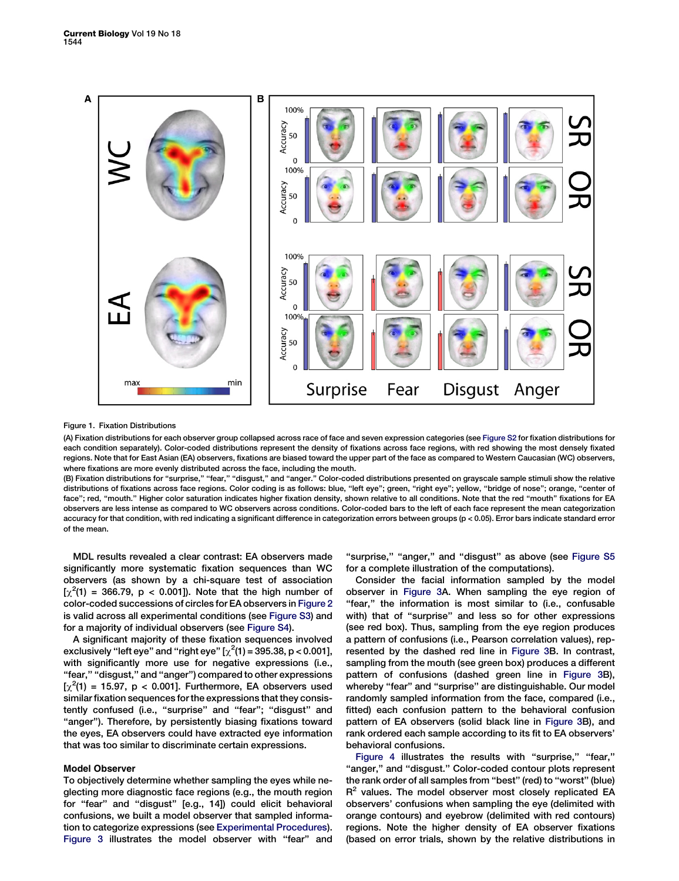<span id="page-1-0"></span>

## Figure 1. Fixation Distributions

(A) Fixation distributions for each observer group collapsed across race of face and seven expression categories (see [Figure S2](#page-4-0) for fixation distributions for each condition separately). Color-coded distributions represent the density of fixations across face regions, with red showing the most densely fixated regions. Note that for East Asian (EA) observers, fixations are biased toward the upper part of the face as compared to Western Caucasian (WC) observers, where fixations are more evenly distributed across the face, including the mouth.

(B) Fixation distributions for ''surprise,'' ''fear,'' ''disgust,'' and ''anger.'' Color-coded distributions presented on grayscale sample stimuli show the relative distributions of fixations across face regions. Color coding is as follows: blue, "left eye"; green, "right eye"; yellow, "bridge of nose"; orange, "center of face''; red, ''mouth.'' Higher color saturation indicates higher fixation density, shown relative to all conditions. Note that the red ''mouth'' fixations for EA observers are less intense as compared to WC observers across conditions. Color-coded bars to the left of each face represent the mean categorization accuracy for that condition, with red indicating a significant difference in categorization errors between groups (p < 0.05). Error bars indicate standard error of the mean.

MDL results revealed a clear contrast: EA observers made significantly more systematic fixation sequences than WC observers (as shown by a chi-square test of association  $[\chi^2(1) = 366.79, p < 0.001]$ ). Note that the high number of color-coded successions of circles for EA observers in [Figure 2](#page-2-0) is valid across all experimental conditions (see [Figure S3](#page-4-0)) and for a majority of individual observers (see [Figure S4\)](#page-4-0).

A significant majority of these fixation sequences involved exclusively "left eye" and "right eye"  $[\chi^2(1)$  = 395.38, p < 0.001], with significantly more use for negative expressions (i.e., "fear," "disgust," and "anger") compared to other expressions  $[\chi^2(1) = 15.97, p < 0.001]$ . Furthermore, EA observers used similar fixation sequences for the expressions that they consistently confused (i.e., ''surprise'' and ''fear''; ''disgust'' and "anger"). Therefore, by persistently biasing fixations toward the eyes, EA observers could have extracted eye information that was too similar to discriminate certain expressions.

## Model Observer

To objectively determine whether sampling the eyes while neglecting more diagnostic face regions (e.g., the mouth region for ''fear'' and ''disgust'' [e.g., 14]) could elicit behavioral confusions, we built a model observer that sampled information to categorize expressions (see [Experimental Procedures\)](#page-3-0). [Figure 3](#page-2-0) illustrates the model observer with "fear" and

"surprise," "anger," and "disgust" as above (see [Figure S5](#page-4-0) for a complete illustration of the computations).

Consider the facial information sampled by the model observer in [Figure 3A](#page-2-0). When sampling the eye region of "fear," the information is most similar to (i.e., confusable with) that of ''surprise'' and less so for other expressions (see red box). Thus, sampling from the eye region produces a pattern of confusions (i.e., Pearson correlation values), represented by the dashed red line in [Figure 3](#page-2-0)B. In contrast, sampling from the mouth (see green box) produces a different pattern of confusions (dashed green line in [Figure 3B](#page-2-0)), whereby "fear" and "surprise" are distinguishable. Our model randomly sampled information from the face, compared (i.e., fitted) each confusion pattern to the behavioral confusion pattern of EA observers (solid black line in [Figure 3](#page-2-0)B), and rank ordered each sample according to its fit to EA observers' behavioral confusions.

[Figure 4](#page-3-0) illustrates the results with "surprise," "fear," "anger," and "disgust." Color-coded contour plots represent the rank order of all samples from ''best'' (red) to ''worst'' (blue)  $R<sup>2</sup>$  values. The model observer most closely replicated EA observers' confusions when sampling the eye (delimited with orange contours) and eyebrow (delimited with red contours) regions. Note the higher density of EA observer fixations (based on error trials, shown by the relative distributions in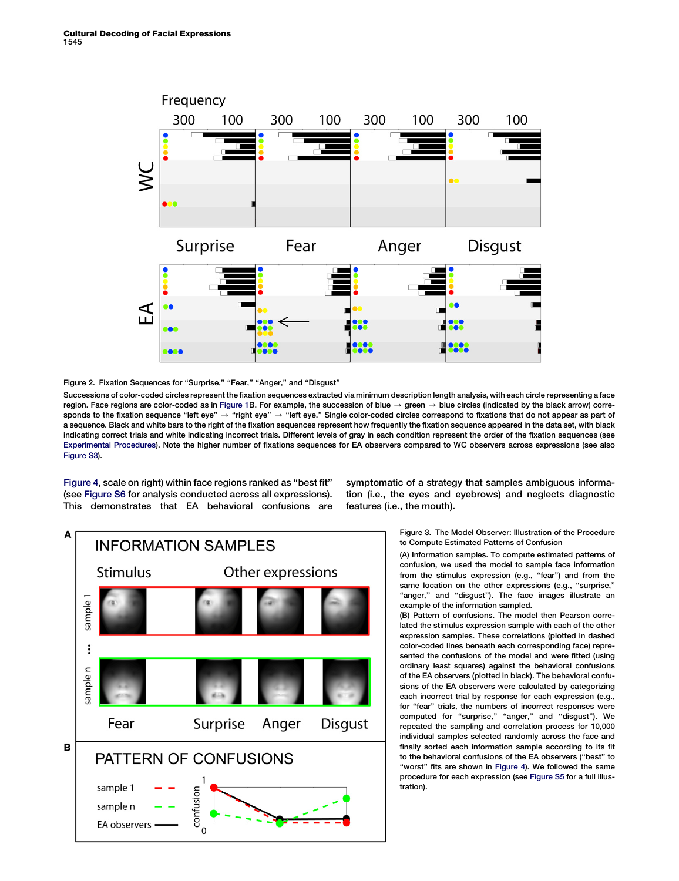<span id="page-2-0"></span>

Figure 2. Fixation Sequences for "Surprise," "Fear," "Anger," and "Disgust"

Successions of color-coded circles represent the fixation sequences extracted via minimum description length analysis, with each circle representing a face region. Face regions are color-coded as in [Figure 1](#page-1-0)B. For example, the succession of blue  $\rightarrow$  green  $\rightarrow$  blue circles (indicated by the black arrow) corresponds to the fixation sequence "left eye"  $\rightarrow$  "right eye"  $\rightarrow$  "left eye." Single color-coded circles correspond to fixations that do not appear as part of a sequence. Black and white bars to the right of the fixation sequences represent how frequently the fixation sequence appeared in the data set, with black indicating correct trials and white indicating incorrect trials. Different levels of gray in each condition represent the order of the fixation sequences (see [Experimental Procedures](#page-3-0)). Note the higher number of fixations sequences for EA observers compared to WC observers across expressions (see also [Figure S3](#page-4-0)).

[Figure 4](#page-3-0), scale on right) within face regions ranked as ''best fit'' (see [Figure S6](#page-4-0) for analysis conducted across all expressions). This demonstrates that EA behavioral confusions are



symptomatic of a strategy that samples ambiguous information (i.e., the eyes and eyebrows) and neglects diagnostic features (i.e., the mouth).

> Figure 3. The Model Observer: Illustration of the Procedure to Compute Estimated Patterns of Confusion

> (A) Information samples. To compute estimated patterns of confusion, we used the model to sample face information from the stimulus expression (e.g., "fear") and from the same location on the other expressions (e.g., "surprise," "anger," and "disgust"). The face images illustrate an example of the information sampled.

> (B) Pattern of confusions. The model then Pearson correlated the stimulus expression sample with each of the other expression samples. These correlations (plotted in dashed color-coded lines beneath each corresponding face) represented the confusions of the model and were fitted (using ordinary least squares) against the behavioral confusions of the EA observers (plotted in black). The behavioral confusions of the EA observers were calculated by categorizing each incorrect trial by response for each expression (e.g., for "fear" trials, the numbers of incorrect responses were computed for "surprise," "anger," and "disgust"). We repeated the sampling and correlation process for 10,000 individual samples selected randomly across the face and finally sorted each information sample according to its fit to the behavioral confusions of the EA observers (''best'' to "worst" fits are shown in [Figure 4\)](#page-3-0). We followed the same procedure for each expression (see [Figure S5](#page-4-0) for a full illustration).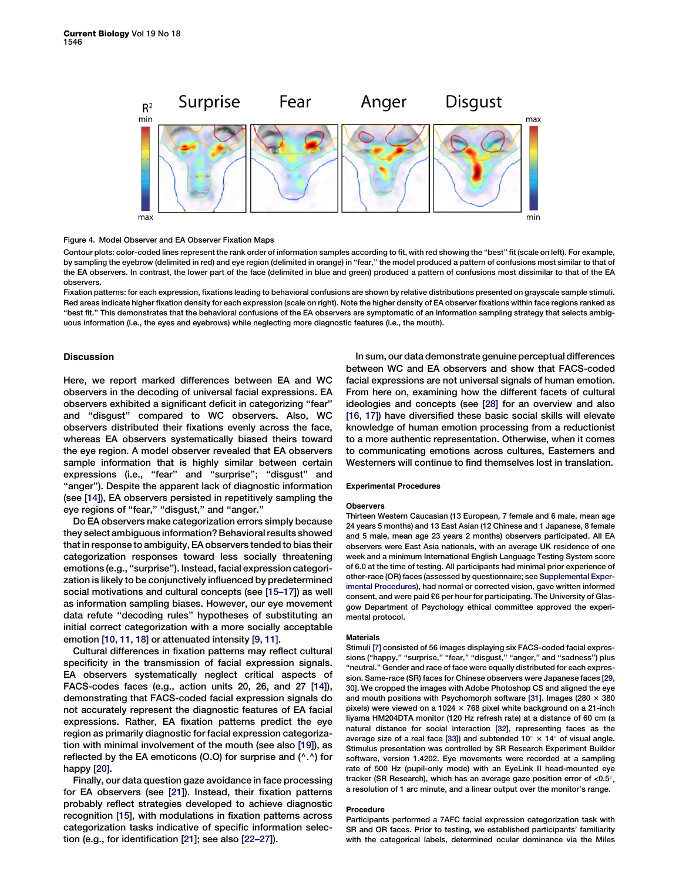<span id="page-3-0"></span>

#### Figure 4. Model Observer and EA Observer Fixation Maps

Contour plots: color-coded lines represent the rank order of information samples according to fit, with red showing the ''best'' fit (scale on left). For example, by sampling the eyebrow (delimited in red) and eye region (delimited in orange) in ''fear,'' the model produced a pattern of confusions most similar to that of the EA observers. In contrast, the lower part of the face (delimited in blue and green) produced a pattern of confusions most dissimilar to that of the EA observers.

Fixation patterns: for each expression, fixations leading to behavioral confusions are shown by relative distributions presented on grayscale sample stimuli. Red areas indicate higher fixation density for each expression (scale on right). Note the higher density of EA observer fixations within face regions ranked as "best fit." This demonstrates that the behavioral confusions of the EA observers are symptomatic of an information sampling strategy that selects ambiguous information (i.e., the eyes and eyebrows) while neglecting more diagnostic features (i.e., the mouth).

## **Discussion**

Here, we report marked differences between EA and WC observers in the decoding of universal facial expressions. EA observers exhibited a significant deficit in categorizing ''fear'' and ''disgust'' compared to WC observers. Also, WC observers distributed their fixations evenly across the face, whereas EA observers systematically biased theirs toward the eye region. A model observer revealed that EA observers sample information that is highly similar between certain expressions (i.e., "fear" and "surprise"; "disgust" and "anger"). Despite the apparent lack of diagnostic information (see [\[14\]](#page-4-0)), EA observers persisted in repetitively sampling the eye regions of "fear," "disgust," and "anger."

Do EA observers make categorization errors simply because they select ambiguous information? Behavioral results showed that in response to ambiguity, EA observers tended to bias their categorization responses toward less socially threatening emotions (e.g., ''surprise''). Instead, facial expression categorization is likely to be conjunctively influenced by predetermined social motivations and cultural concepts (see [\[15–17\]\)](#page-4-0) as well as information sampling biases. However, our eye movement data refute ''decoding rules'' hypotheses of substituting an initial correct categorization with a more socially acceptable emotion [\[10, 11, 18\]](#page-4-0) or attenuated intensity [\[9, 11\]](#page-4-0).

Cultural differences in fixation patterns may reflect cultural specificity in the transmission of facial expression signals. EA observers systematically neglect critical aspects of FACS-codes faces (e.g., action units 20, 26, and 27 [\[14\]\)](#page-4-0), demonstrating that FACS-coded facial expression signals do not accurately represent the diagnostic features of EA facial expressions. Rather, EA fixation patterns predict the eye region as primarily diagnostic for facial expression categorization with minimal involvement of the mouth (see also [\[19\]](#page-4-0)), as reflected by the EA emoticons (O.O) for surprise and (^.^) for happy [\[20\]](#page-4-0).

Finally, our data question gaze avoidance in face processing for EA observers (see [\[21\]](#page-4-0)). Instead, their fixation patterns probably reflect strategies developed to achieve diagnostic recognition [\[15\],](#page-4-0) with modulations in fixation patterns across categorization tasks indicative of specific information selection (e.g., for identification [\[21\]](#page-4-0); see also [\[22–27\]](#page-4-0)).

In sum, our data demonstrate genuine perceptual differences between WC and EA observers and show that FACS-coded facial expressions are not universal signals of human emotion. From here on, examining how the different facets of cultural ideologies and concepts (see [\[28\]](#page-5-0) for an overview and also [\[16, 17\]](#page-4-0)) have diversified these basic social skills will elevate knowledge of human emotion processing from a reductionist to a more authentic representation. Otherwise, when it comes to communicating emotions across cultures, Easterners and Westerners will continue to find themselves lost in translation.

#### Experimental Procedures

#### **Observers**

Thirteen Western Caucasian (13 European, 7 female and 6 male, mean age 24 years 5 months) and 13 East Asian (12 Chinese and 1 Japanese, 8 female and 5 male, mean age 23 years 2 months) observers participated. All EA observers were East Asia nationals, with an average UK residence of one week and a minimum International English Language Testing System score of 6.0 at the time of testing. All participants had minimal prior experience of other-race (OR) faces (assessed by questionnaire; see [Supplemental Exper](#page-4-0)[imental Procedures\)](#page-4-0), had normal or corrected vision, gave written informed consent, and were paid £6 per hour for participating. The University of Glasgow Department of Psychology ethical committee approved the experimental protocol.

#### Materials

Stimuli [\[7\]](#page-4-0) consisted of 56 images displaying six FACS-coded facial expressions ("happy," "surprise," "fear," "disgust," "anger," and "sadness") plus "neutral." Gender and race of face were equally distributed for each expression. Same-race (SR) faces for Chinese observers were Japanese faces [\[29,](#page-5-0) [30\]](#page-5-0). We cropped the images with Adobe Photoshop CS and aligned the eye and mouth positions with Psychomorph software [\[31\]](#page-5-0). Images (280  $\times$  380 pixels) were viewed on a 1024  $\times$  768 pixel white background on a 21-inch Iiyama HM204DTA monitor (120 Hz refresh rate) at a distance of 60 cm (a natural distance for social interaction [\[32\]](#page-5-0), representing faces as the average size of a real face [\[33\]\)](#page-5-0) and subtended 10 $^{\circ}$   $\times$  14 $^{\circ}$  of visual angle. Stimulus presentation was controlled by SR Research Experiment Builder software, version 1.4202. Eye movements were recorded at a sampling rate of 500 Hz (pupil-only mode) with an EyeLink II head-mounted eye tracker (SR Research), which has an average gaze position error of  $<$ 0.5 $^{\circ}$ , a resolution of 1 arc minute, and a linear output over the monitor's range.

#### Procedure

Participants performed a 7AFC facial expression categorization task with SR and OR faces. Prior to testing, we established participants' familiarity with the categorical labels, determined ocular dominance via the Miles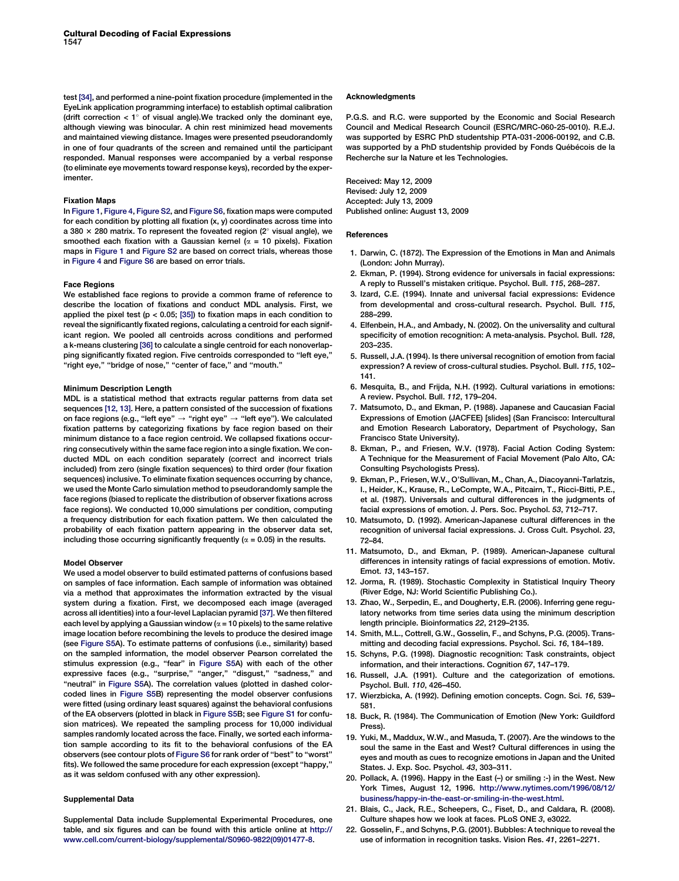<span id="page-4-0"></span>test [\[34\],](#page-5-0) and performed a nine-point fixation procedure (implemented in the EyeLink application programming interface) to establish optimal calibration (drift correction  $< 1^{\circ}$  of visual angle). We tracked only the dominant eye, although viewing was binocular. A chin rest minimized head movements and maintained viewing distance. Images were presented pseudorandomly in one of four quadrants of the screen and remained until the participant responded. Manual responses were accompanied by a verbal response (to eliminate eye movements toward response keys), recorded by the experimenter.

#### Fixation Maps

In [Figure 1](#page-1-0), [Figure 4](#page-3-0), Figure S2, and Figure S6, fixation maps were computed for each condition by plotting all fixation (x, y) coordinates across time into a 380  $\times$  280 matrix. To represent the foveated region (2 $^{\circ}$  visual angle), we smoothed each fixation with a Gaussian kernel ( $\alpha$  = 10 pixels). Fixation maps in [Figure 1](#page-1-0) and Figure S2 are based on correct trials, whereas those in [Figure 4](#page-3-0) and Figure S6 are based on error trials.

#### Face Regions

We established face regions to provide a common frame of reference to describe the location of fixations and conduct MDL analysis. First, we applied the pixel test ( $p < 0.05$ ; [\[35\]\)](#page-5-0) to fixation maps in each condition to reveal the significantly fixated regions, calculating a centroid for each significant region. We pooled all centroids across conditions and performed a k-means clustering [\[36\]](#page-5-0) to calculate a single centroid for each nonoverlapping significantly fixated region. Five centroids corresponded to ''left eye,'' "right eye," "bridge of nose," "center of face," and "mouth."

#### Minimum Description Length

MDL is a statistical method that extracts regular patterns from data set sequences [12, 13]. Here, a pattern consisted of the succession of fixations on face regions (e.g., "left eye"  $\rightarrow$  "right eye"  $\rightarrow$  "left eye"). We calculated fixation patterns by categorizing fixations by face region based on their minimum distance to a face region centroid. We collapsed fixations occurring consecutively within the same face region into a single fixation. We conducted MDL on each condition separately (correct and incorrect trials included) from zero (single fixation sequences) to third order (four fixation sequences) inclusive. To eliminate fixation sequences occurring by chance, we used the Monte Carlo simulation method to pseudorandomly sample the face regions (biased to replicate the distribution of observer fixations across face regions). We conducted 10,000 simulations per condition, computing a frequency distribution for each fixation pattern. We then calculated the probability of each fixation pattern appearing in the observer data set, including those occurring significantly frequently ( $\alpha$  = 0.05) in the results.

#### Model Observer

We used a model observer to build estimated patterns of confusions based on samples of face information. Each sample of information was obtained via a method that approximates the information extracted by the visual system during a fixation. First, we decomposed each image (averaged across all identities) into a four-level Laplacian pyramid [\[37\].](#page-5-0) We then filtered each level by applying a Gaussian window ( $\alpha$  = 10 pixels) to the same relative image location before recombining the levels to produce the desired image (see Figure S5A). To estimate patterns of confusions (i.e., similarity) based on the sampled information, the model observer Pearson correlated the stimulus expression (e.g., ''fear'' in Figure S5A) with each of the other expressive faces (e.g., "surprise," "anger," "disgust," "sadness," and "neutral" in Figure S5A). The correlation values (plotted in dashed colorcoded lines in Figure S5B) representing the model observer confusions were fitted (using ordinary least squares) against the behavioral confusions of the EA observers (plotted in black in Figure S5B; see Figure S1 for confusion matrices). We repeated the sampling process for 10,000 individual samples randomly located across the face. Finally, we sorted each information sample according to its fit to the behavioral confusions of the EA observers (see contour plots of Figure S6 for rank order of ''best'' to ''worst'' fits). We followed the same procedure for each expression (except ''happy,'' as it was seldom confused with any other expression).

#### Supplemental Data

Supplemental Data include Supplemental Experimental Procedures, one table, and six figures and can be found with this article online at [http://](http://www.cell.com/current-biology/supplemental/S0960-9822(09)01477-8) [www.cell.com/current-biology/supplemental/S0960-9822\(09\)01477-8.](http://www.cell.com/current-biology/supplemental/S0960-9822(09)01477-8)

#### Acknowledgments

P.G.S. and R.C. were supported by the Economic and Social Research Council and Medical Research Council (ESRC/MRC-060-25-0010). R.E.J. was supported by ESRC PhD studentship PTA-031-2006-00192, and C.B. was supported by a PhD studentship provided by Fonds Québécois de la Recherche sur la Nature et les Technologies.

Received: May 12, 2009 Revised: July 12, 2009 Accepted: July 13, 2009 Published online: August 13, 2009

#### References

- 1. Darwin, C. (1872). The Expression of the Emotions in Man and Animals (London: John Murray).
- 2. Ekman, P. (1994). Strong evidence for universals in facial expressions: A reply to Russell's mistaken critique. Psychol. Bull. 115, 268–287.
- 3. Izard, C.E. (1994). Innate and universal facial expressions: Evidence from developmental and cross-cultural research. Psychol. Bull. 115, 288–299.
- 4. Elfenbein, H.A., and Ambady, N. (2002). On the universality and cultural specificity of emotion recognition: A meta-analysis. Psychol. Bull. 128, 203–235.
- 5. Russell, J.A. (1994). Is there universal recognition of emotion from facial expression? A review of cross-cultural studies. Psychol. Bull. 115, 102– 141.
- 6. Mesquita, B., and Frijda, N.H. (1992). Cultural variations in emotions: A review. Psychol. Bull. 112, 179–204.
- 7. Matsumoto, D., and Ekman, P. (1988). Japanese and Caucasian Facial Expressions of Emotion (JACFEE) [slides] (San Francisco: Intercultural and Emotion Research Laboratory, Department of Psychology, San Francisco State University).
- 8. Ekman, P., and Friesen, W.V. (1978). Facial Action Coding System: A Technique for the Measurement of Facial Movement (Palo Alto, CA: Consulting Psychologists Press).
- 9. Ekman, P., Friesen, W.V., O'Sullivan, M., Chan, A., Diacoyanni-Tarlatzis, I., Heider, K., Krause, R., LeCompte, W.A., Pitcairn, T., Ricci-Bitti, P.E., et al. (1987). Universals and cultural differences in the judgments of facial expressions of emotion. J. Pers. Soc. Psychol. 53, 712–717.
- 10. Matsumoto, D. (1992). American-Japanese cultural differences in the recognition of universal facial expressions. J. Cross Cult. Psychol. 23, 72–84.
- 11. Matsumoto, D., and Ekman, P. (1989). American-Japanese cultural differences in intensity ratings of facial expressions of emotion. Motiv. Emot. 13, 143–157.
- 12. Jorma, R. (1989). Stochastic Complexity in Statistical Inquiry Theory (River Edge, NJ: World Scientific Publishing Co.).
- 13. Zhao, W., Serpedin, E., and Dougherty, E.R. (2006). Inferring gene regulatory networks from time series data using the minimum description length principle. Bioinformatics 22, 2129–2135.
- 14. Smith, M.L., Cottrell, G.W., Gosselin, F., and Schyns, P.G. (2005). Transmitting and decoding facial expressions. Psychol. Sci. 16, 184–189.
- 15. Schyns, P.G. (1998). Diagnostic recognition: Task constraints, object information, and their interactions. Cognition 67, 147–179.
- 16. Russell, J.A. (1991). Culture and the categorization of emotions. Psychol. Bull. 110, 426–450.
- 17. Wierzbicka, A. (1992). Defining emotion concepts. Cogn. Sci. 16, 539– 581.
- 18. Buck, R. (1984). The Communication of Emotion (New York: Guildford Press).
- 19. Yuki, M., Maddux, W.W., and Masuda, T. (2007). Are the windows to the soul the same in the East and West? Cultural differences in using the eyes and mouth as cues to recognize emotions in Japan and the United States. J. Exp. Soc. Psychol. 43, 303–311.
- 20. Pollack, A. (1996). Happy in the East (–) or smiling :-) in the West. New York Times, August 12, 1996. [http://www.nytimes.com/1996/08/12/](http://www.nytimes.com/1996/08/12/business/happy-in-the-east-or-smiling-in-the-west.html) [business/happy-in-the-east-or-smiling-in-the-west.html](http://www.nytimes.com/1996/08/12/business/happy-in-the-east-or-smiling-in-the-west.html).
- 21. Blais, C., Jack, R.E., Scheepers, C., Fiset, D., and Caldara, R. (2008). Culture shapes how we look at faces. PLoS ONE 3, e3022.
- 22. Gosselin, F., and Schyns, P.G. (2001). Bubbles: A technique to reveal the use of information in recognition tasks. Vision Res. 41, 2261–2271.